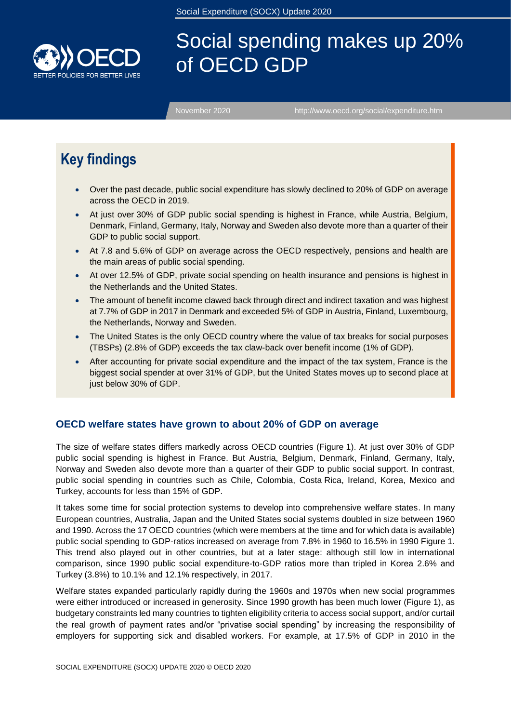

# Social spending makes up 20% of OECD GDP

[November 2020 http://www.oecd.org/social/expenditure.htm](http://www.oecd.org/social/expenditure.htm)

## **Key findings**

- Over the past decade, public social expenditure has slowly declined to 20% of GDP on average across the OECD in 2019.
- At just over 30% of GDP public social spending is highest in France, while Austria, Belgium, Denmark, Finland, Germany, Italy, Norway and Sweden also devote more than a quarter of their GDP to public social support.
- At 7.8 and 5.6% of GDP on average across the OECD respectively, pensions and health are the main areas of public social spending.
- At over 12.5% of GDP, private social spending on health insurance and pensions is highest in the Netherlands and the United States.
- The amount of benefit income clawed back through direct and indirect taxation and was highest at 7.7% of GDP in 2017 in Denmark and exceeded 5% of GDP in Austria, Finland, Luxembourg, the Netherlands, Norway and Sweden.
- The United States is the only OECD country where the value of tax breaks for social purposes (TBSPs) (2.8% of GDP) exceeds the tax claw-back over benefit income (1% of GDP).
- After accounting for private social expenditure and the impact of the tax system, France is the biggest social spender at over 31% of GDP, but the United States moves up to second place at just below 30% of GDP.

## **OECD welfare states have grown to about 20% of GDP on average**

The size of welfare states differs markedly across OECD countries [\(Figure](#page-1-0) 1). At just over 30% of GDP public social spending is highest in France. But Austria, Belgium, Denmark, Finland, Germany, Italy, Norway and Sweden also devote more than a quarter of their GDP to public social support. In contrast, public social spending in countries such as Chile, Colombia, Costa Rica, Ireland, Korea, Mexico and Turkey, accounts for less than 15% of GDP.

It takes some time for social protection systems to develop into comprehensive welfare states. In many European countries, Australia, Japan and the United States social systems doubled in size between 1960 and 1990. Across the 17 OECD countries (which were members at the time and for which data is available) public social spending to GDP-ratios increased on average from 7.8% in 1960 to 16.5% in 1990 [Figure](#page-1-0) 1. This trend also played out in other countries, but at a later stage: although still low in international comparison, since 1990 public social expenditure-to-GDP ratios more than tripled in Korea 2.6% and Turkey (3.8%) to 10.1% and 12.1% respectively, in 2017.

Welfare states expanded particularly rapidly during the 1960s and 1970s when new social programmes were either introduced or increased in generosity. Since 1990 growth has been much lower [\(Figure](#page-1-0) 1), as budgetary constraints led many countries to tighten eligibility criteria to access social support, and/or curtail the real growth of payment rates and/or "privatise social spending" by increasing the responsibility of employers for supporting sick and disabled workers. For example, at 17.5% of GDP in 2010 in the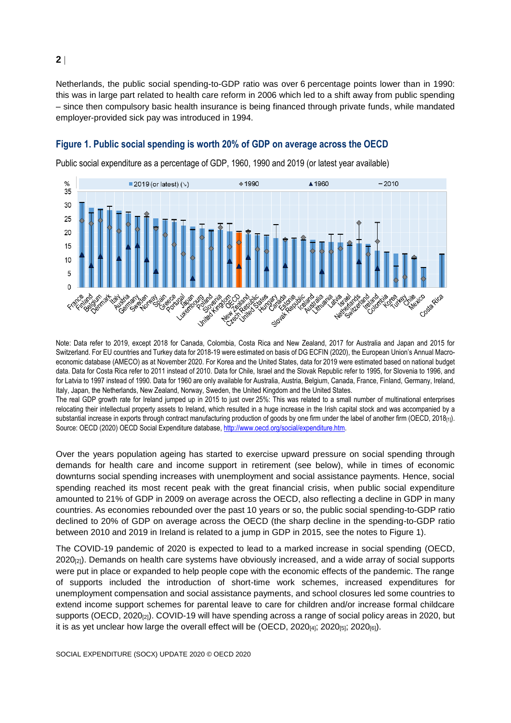Netherlands, the public social spending-to-GDP ratio was over 6 percentage points lower than in 1990: this was in large part related to health care reform in 2006 which led to a shift away from public spending – since then compulsory basic health insurance is being financed through private funds, while mandated employer-provided sick pay was introduced in 1994.

#### <span id="page-1-0"></span>**Figure 1. Public social spending is worth 20% of GDP on average across the OECD**



Public social expenditure as a percentage of GDP, 1960, 1990 and 2019 (or latest year available)

Note: Data refer to 2019, except 2018 for Canada, Colombia, Costa Rica and New Zealand, 2017 for Australia and Japan and 2015 for Switzerland. For EU countries and Turkey data for 2018-19 were estimated on basis of DG ECFIN (2020), the European Union's Annual Macroeconomic database (AMECO) as at November 2020. For Korea and the United States, data for 2019 were estimated based on national budget data. Data for Costa Rica refer to 2011 instead of 2010. Data for Chile, Israel and the Slovak Republic refer to 1995, for Slovenia to 1996, and for Latvia to 1997 instead of 1990. Data for 1960 are only available for Australia, Austria, Belgium, Canada, France, Finland, Germany, Ireland, Italy, Japan, the Netherlands, New Zealand, Norway, Sweden, the United Kingdom and the United States.

The real GDP growth rate for Ireland jumped up in 2015 to just over 25%: This was related to a small number of multinational enterprises relocating their intellectual property assets to Ireland, which resulted in a huge increase in the Irish capital stock and was accompanied by a substantial increase in exports through contract manufacturing production of goods by one firm under the label of another firm (OECD, 2018<sub>[1]</sub>). Source: OECD (2020) OECD Social Expenditure database, [http://www.oecd.org/social/expenditure.htm.](http://www.oecd.org/social/expenditure.htm)

Over the years population ageing has started to exercise upward pressure on social spending through demands for health care and income support in retirement (see below), while in times of economic downturns social spending increases with unemployment and social assistance payments. Hence, social spending reached its most recent peak with the great financial crisis, when public social expenditure amounted to 21% of GDP in 2009 on average across the OECD, also reflecting a decline in GDP in many countries. As economies rebounded over the past 10 years or so, the public social spending-to-GDP ratio declined to 20% of GDP on average across the OECD (the sharp decline in the spending-to-GDP ratio between 2010 and 2019 in Ireland is related to a jump in GDP in 2015, see the notes to [Figure](#page-1-0) 1).

The COVID-19 pandemic of 2020 is expected to lead to a marked increase in social spending (OECD, 2020<sub>[2]</sub>). Demands on health care systems have obviously increased, and a wide array of social supports were put in place or expanded to help people cope with the economic effects of the pandemic. The range of supports included the introduction of short-time work schemes, increased expenditures for unemployment compensation and social assistance payments, and school closures led some countries to extend income support schemes for parental leave to care for children and/or increase formal childcare supports (OECD, 2020<sub>[2]</sub>). COVID-19 will have spending across a range of social policy areas in 2020, but it is as yet unclear how large the overall effect will be (OECD,  $2020_{[4]}$ ;  $2020_{[5]}$ ;  $2020_{[6]}$ ).

SOCIAL EXPENDITURE (SOCX) UPDATE 2020 © OECD 2020

**2**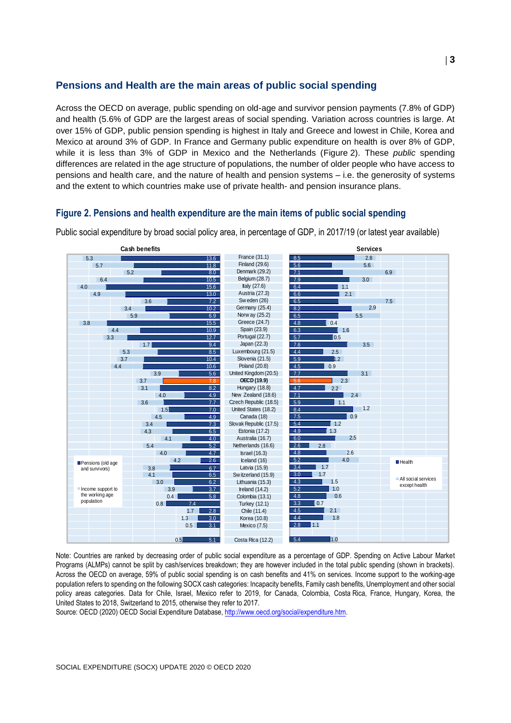## **Pensions and Health are the main areas of public social spending**

Across the OECD on average, public spending on old-age and survivor pension payments (7.8% of GDP) and health (5.6% of GDP are the largest areas of social spending. Variation across countries is large. At over 15% of GDP, public pension spending is highest in Italy and Greece and lowest in Chile, Korea and Mexico at around 3% of GDP. In France and Germany public expenditure on health is over 8% of GDP, while it is less than 3% of GDP in Mexico and the Netherlands [\(Figure](#page-2-0) 2). These *public* spending differences are related in the age structure of populations, the number of older people who have access to pensions and health care, and the nature of health and pension systems – i.e. the generosity of systems and the extent to which countries make use of private health- and pension insurance plans.

## <span id="page-2-0"></span>**Figure 2. Pensions and health expenditure are the main items of public social spending**

France (31.1) Finland (29.6) Denmark (29.2) Belgium (28.7) Italy (27.6) Austria (27.3) Sw eden (26) Germany (25.4) Norw ay (25.2) Greece (24.7) Spain (23.9) Portugal (22.7) Japan (22.3) Luxembourg (21.5) Slovenia (21.5) Poland (20.8) United Kingdom (20.5) **OECD (19.9)** Hungary (18.8) New Zealand (18.6) Czech Republic (18.5) United States (18.2) Canada (18) Slovak Republic (17.5) Estonia (17.2) Australia (16.7) Netherlands (16.6)<br>
Israel (16.6)<br>
Israel (16.3)<br>
Lealand (16)<br>
Latvia (15.9)<br>
Sw itzerland (15.9)<br>
Lithuania (15.3) Israel (16.3) Iceland (16) Latvia (15.9) Lithuania (15.3) Ireland  $(14.2)$ Colombia (13.1) Turkey (12.1) Chile (11.4) Korea (10.8) Mexico (7.5) Costa Rica (12.2) **Cash benefits Services** 8.5 5.6 7.1 7.9  $6.4$ 6.6 6.5  $\overline{82}$  $\overline{6.5}$ 4.8 6.3 5.7 7.6 4.4 5.9 4.5 7.7 5.6 4.7  $\overline{7}$ . 5.9 8.4 7.5 5.4 4.9 6.0 2.6  $4.8$  $\overline{5.2}$ 3.4 3.0  $-4.3$ 5.2 4.8  $3.3$ 4.5 4.4  $\overline{28}$  $-5.4$ 2.8 5.6 6.9 3.0 1.1 2.1 7.5 2.9 5.5  $\overline{1}$  0.4 1.6  $\overline{10.5}$ 3.5 2.5  $h.2$  $\overline{0.9}$ 3.1  $\overline{2.3}$ 2.2 2.4  $\blacksquare$  1.1 1.2  $|0.9$  $\blacksquare$  1.2  $1.3$ 2.5 2.8 2.6 4.0  $\blacksquare$  1.7 1.7 1.5 1.0 0.6  $\overline{0}$ .7 2.1 1.8 1.1  $1.0$  $H$ Health All social services except health 13.6 11.8 8.0 10.5 15.6 13.0 7.2 10.2 6.9 15.5 10.9 12.7 9.4 8.5  $10.4$ 10.6 5.6 7.8  $\overline{82}$ 4.9 7.7 7.0 4.9 7.3 6.5 4.0 5.2 4.7 2.6 6.7 6.5 6.2 3.7 5.8 7.4 2.8  $\overline{30}$ 3.1 5.1 5.3 5.7 5.2 6.4 4.0 4.9 3.6 3.4 5.9 3.8 4.4 3.3 1.7 5.3 3.7 4.4 3.9 3.7  $\overline{3}$  $40$ 3.6 1.5 4.5 3.4 4.3 4.1 5.4 4.0  $4<sup>2</sup>$ 3.8  $4.1$ 3.0 3.9 0.4 0.8 1.7 1.3 0.5  $0.5$ **Pensions** (old age and survivors) Income support to the working age population

Public social expenditure by broad social policy area, in percentage of GDP, in 2017/19 (or latest year available)

Note: Countries are ranked by decreasing order of public social expenditure as a percentage of GDP. Spending on Active Labour Market Programs (ALMPs) cannot be split by cash/services breakdown; they are however included in the total public spending (shown in brackets). Across the OECD on average, 59% of public social spending is on cash benefits and 41% on services. Income support to the working-age population refers to spending on the following SOCX cash categories: Incapacity benefits, Family cash benefits, Unemployment and other social policy areas categories. Data for Chile, Israel, Mexico refer to 2019, for Canada, Colombia, Costa Rica, France, Hungary, Korea, the United States to 2018, Switzerland to 2015, otherwise they refer to 2017.

Source: OECD (2020) OECD Social Expenditure Database, [http://www.oecd.org/social/expenditure.htm.](http://www.oecd.org/social/expenditure.htm)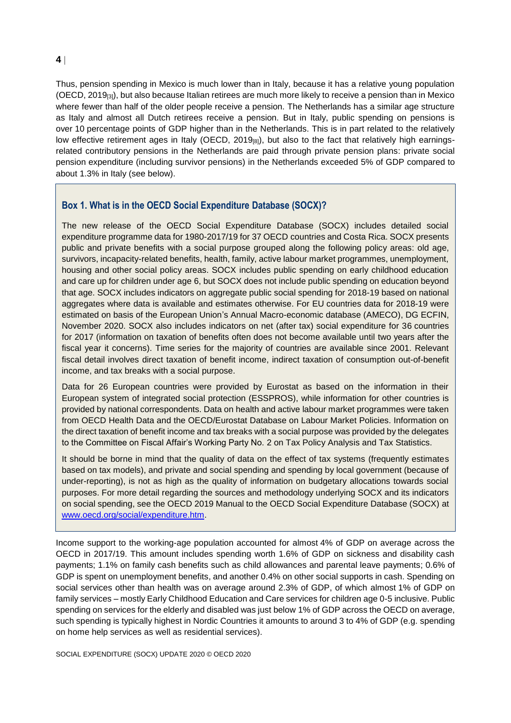Thus, pension spending in Mexico is much lower than in Italy, because it has a relative young population (OECD, 2019[3]), but also because Italian retirees are much more likely to receive a pension than in Mexico where fewer than half of the older people receive a pension. The Netherlands has a similar age structure as Italy and almost all Dutch retirees receive a pension. But in Italy, public spending on pensions is over 10 percentage points of GDP higher than in the Netherlands. This is in part related to the relatively low effective retirement ages in Italy (OECD, 2019[8]), but also to the fact that relatively high earningsrelated contributory pensions in the Netherlands are paid through private pension plans: private social pension expenditure (including survivor pensions) in the Netherlands exceeded 5% of GDP compared to about 1.3% in Italy (see below).

## **Box 1. What is in the OECD Social Expenditure Database (SOCX)?**

The new release of the OECD Social Expenditure Database (SOCX) includes detailed social expenditure programme data for 1980-2017/19 for 37 OECD countries and Costa Rica. SOCX presents public and private benefits with a social purpose grouped along the following policy areas: old age, survivors, incapacity-related benefits, health, family, active labour market programmes, unemployment, housing and other social policy areas. SOCX includes public spending on early childhood education and care up for children under age 6, but SOCX does not include public spending on education beyond that age. SOCX includes indicators on aggregate public social spending for 2018-19 based on national aggregates where data is available and estimates otherwise. For EU countries data for 2018-19 were estimated on basis of the European Union's Annual Macro-economic database (AMECO), DG ECFIN, November 2020. SOCX also includes indicators on net (after tax) social expenditure for 36 countries for 2017 (information on taxation of benefits often does not become available until two years after the fiscal year it concerns). Time series for the majority of countries are available since 2001. Relevant fiscal detail involves direct taxation of benefit income, indirect taxation of consumption out-of-benefit income, and tax breaks with a social purpose.

Data for 26 European countries were provided by Eurostat as based on the information in their European system of integrated social protection (ESSPROS), while information for other countries is provided by national correspondents. Data on health and active labour market programmes were taken from OECD Health Data and the OECD/Eurostat Database on Labour Market Policies. Information on the direct taxation of benefit income and tax breaks with a social purpose was provided by the delegates to the Committee on Fiscal Affair's Working Party No. 2 on Tax Policy Analysis and Tax Statistics.

It should be borne in mind that the quality of data on the effect of tax systems (frequently estimates based on tax models), and private and social spending and spending by local government (because of under-reporting), is not as high as the quality of information on budgetary allocations towards social purposes. For more detail regarding the sources and methodology underlying SOCX and its indicators on social spending, see the OECD 2019 Manual to the OECD Social Expenditure Database (SOCX) at [www.oecd.org/social/expenditure.htm.](http://www.oecd.org/social/expenditure.htm)

Income support to the working-age population accounted for almost 4% of GDP on average across the OECD in 2017/19. This amount includes spending worth 1.6% of GDP on sickness and disability cash payments; 1.1% on family cash benefits such as child allowances and parental leave payments; 0.6% of GDP is spent on unemployment benefits, and another 0.4% on other social supports in cash. Spending on social services other than health was on average around 2.3% of GDP, of which almost 1% of GDP on family services – mostly Early Childhood Education and Care services for children age 0-5 inclusive. Public spending on services for the elderly and disabled was just below 1% of GDP across the OECD on average, such spending is typically highest in Nordic Countries it amounts to around 3 to 4% of GDP (e.g. spending on home help services as well as residential services).

SOCIAL EXPENDITURE (SOCX) UPDATE 2020 © OECD 2020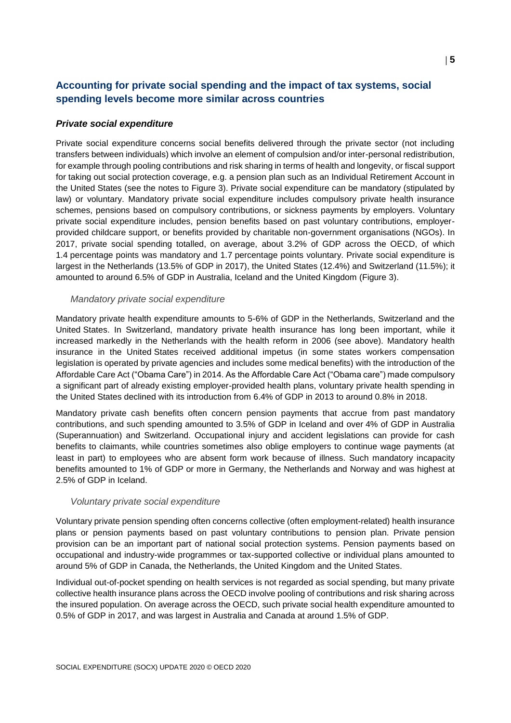## **Accounting for private social spending and the impact of tax systems, social spending levels become more similar across countries**

#### *Private social expenditure*

Private social expenditure concerns social benefits delivered through the private sector (not including transfers between individuals) which involve an element of compulsion and/or inter-personal redistribution, for example through pooling contributions and risk sharing in terms of health and longevity, or fiscal support for taking out social protection coverage, e.g. a pension plan such as an Individual Retirement Account in the United States (see the notes to [Figure](#page-5-0) 3). Private social expenditure can be mandatory (stipulated by law) or voluntary. Mandatory private social expenditure includes compulsory private health insurance schemes, pensions based on compulsory contributions, or sickness payments by employers. Voluntary private social expenditure includes, pension benefits based on past voluntary contributions, employerprovided childcare support, or benefits provided by charitable non-government organisations (NGOs). In 2017, private social spending totalled, on average, about 3.2% of GDP across the OECD, of which 1.4 percentage points was mandatory and 1.7 percentage points voluntary. Private social expenditure is largest in the Netherlands (13.5% of GDP in 2017), the United States (12.4%) and Switzerland (11.5%); it amounted to around 6.5% of GDP in Australia, Iceland and the United Kingdom [\(Figure](#page-5-0) 3).

#### *Mandatory private social expenditure*

Mandatory private health expenditure amounts to 5-6% of GDP in the Netherlands, Switzerland and the United States. In Switzerland, mandatory private health insurance has long been important, while it increased markedly in the Netherlands with the health reform in 2006 (see above). Mandatory health insurance in the United States received additional impetus (in some states workers compensation legislation is operated by private agencies and includes some medical benefits) with the introduction of the Affordable Care Act ("Obama Care") in 2014. As the Affordable Care Act ("Obama care") made compulsory a significant part of already existing employer-provided health plans, voluntary private health spending in the United States declined with its introduction from 6.4% of GDP in 2013 to around 0.8% in 2018.

Mandatory private cash benefits often concern pension payments that accrue from past mandatory contributions, and such spending amounted to 3.5% of GDP in Iceland and over 4% of GDP in Australia (Superannuation) and Switzerland. Occupational injury and accident legislations can provide for cash benefits to claimants, while countries sometimes also oblige employers to continue wage payments (at least in part) to employees who are absent form work because of illness. Such mandatory incapacity benefits amounted to 1% of GDP or more in Germany, the Netherlands and Norway and was highest at 2.5% of GDP in Iceland.

#### *Voluntary private social expenditure*

Voluntary private pension spending often concerns collective (often employment-related) health insurance plans or pension payments based on past voluntary contributions to pension plan. Private pension provision can be an important part of national social protection systems. Pension payments based on occupational and industry-wide programmes or tax-supported collective or individual plans amounted to around 5% of GDP in Canada, the Netherlands, the United Kingdom and the United States.

Individual out-of-pocket spending on health services is not regarded as social spending, but many private collective health insurance plans across the OECD involve pooling of contributions and risk sharing across the insured population. On average across the OECD, such private social health expenditure amounted to 0.5% of GDP in 2017, and was largest in Australia and Canada at around 1.5% of GDP.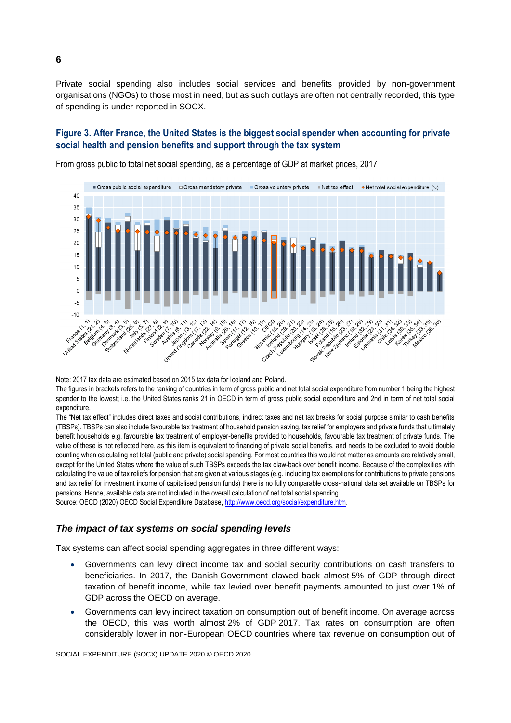Private social spending also includes social services and benefits provided by non-government organisations (NGOs) to those most in need, but as such outlays are often not centrally recorded, this type of spending is under-reported in SOCX.

### <span id="page-5-0"></span>**Figure 3. After France, the United States is the biggest social spender when accounting for private social health and pension benefits and support through the tax system**



From gross public to total net social spending, as a percentage of GDP at market prices, 2017

Note: 2017 tax data are estimated based on 2015 tax data for Iceland and Poland.

The figures in brackets refers to the ranking of countries in term of gross public and net total social expenditure from number 1 being the highest spender to the lowest; i.e. the United States ranks 21 in OECD in term of gross public social expenditure and 2nd in term of net total social expenditure

The "Net tax effect" includes direct taxes and social contributions, indirect taxes and net tax breaks for social purpose similar to cash benefits (TBSPs). TBSPs can also include favourable tax treatment of household pension saving, tax relief for employers and private funds that ultimately benefit households e.g. favourable tax treatment of employer-benefits provided to households, favourable tax treatment of private funds. The value of these is not reflected here, as this item is equivalent to financing of private social benefits, and needs to be excluded to avoid double counting when calculating net total (public and private) social spending. For most countries this would not matter as amounts are relatively small, except for the United States where the value of such TBSPs exceeds the tax claw-back over benefit income. Because of the complexities with calculating the value of tax reliefs for pension that are given at various stages (e.g. including tax exemptions for contributions to private pensions and tax relief for investment income of capitalised pension funds) there is no fully comparable cross-national data set available on TBSPs for pensions. Hence, available data are not included in the overall calculation of net total social spending.

Source: OECD (2020) OECD Social Expenditure Database, [http://www.oecd.org/social/expenditure.htm.](http://www.oecd.org/social/expenditure.htm)

#### *The impact of tax systems on social spending levels*

Tax systems can affect social spending aggregates in three different ways:

- Governments can levy direct income tax and social security contributions on cash transfers to beneficiaries. In 2017, the Danish Government clawed back almost 5% of GDP through direct taxation of benefit income, while tax levied over benefit payments amounted to just over 1% of GDP across the OECD on average.
- Governments can levy indirect taxation on consumption out of benefit income. On average across the OECD, this was worth almost 2% of GDP 2017. Tax rates on consumption are often considerably lower in non-European OECD countries where tax revenue on consumption out of

**6**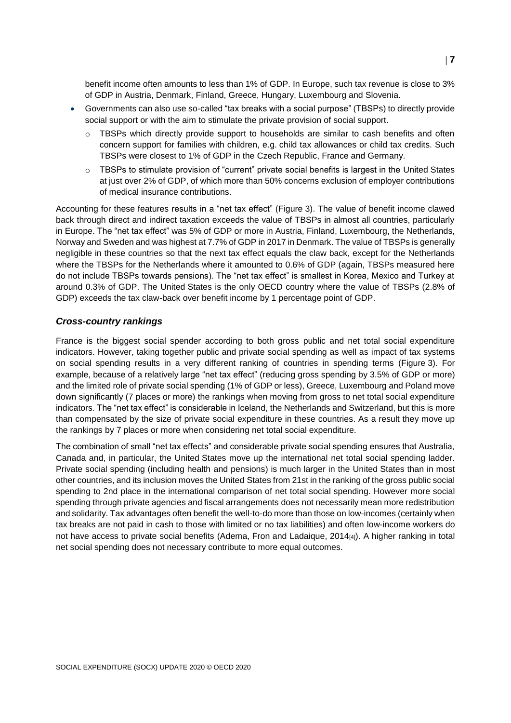benefit income often amounts to less than 1% of GDP. In Europe, such tax revenue is close to 3% of GDP in Austria, Denmark, Finland, Greece, Hungary, Luxembourg and Slovenia.

- Governments can also use so-called "tax breaks with a social purpose" (TBSPs) to directly provide social support or with the aim to stimulate the private provision of social support.
	- $\circ$  TBSPs which directly provide support to households are similar to cash benefits and often concern support for families with children, e.g. child tax allowances or child tax credits. Such TBSPs were closest to 1% of GDP in the Czech Republic, France and Germany.
	- o TBSPs to stimulate provision of "current" private social benefits is largest in the United States at just over 2% of GDP, of which more than 50% concerns exclusion of employer contributions of medical insurance contributions.

Accounting for these features results in a "net tax effect" [\(Figure](#page-5-0) 3). The value of benefit income clawed back through direct and indirect taxation exceeds the value of TBSPs in almost all countries, particularly in Europe. The "net tax effect" was 5% of GDP or more in Austria, Finland, Luxembourg, the Netherlands, Norway and Sweden and was highest at 7.7% of GDP in 2017 in Denmark. The value of TBSPs is generally negligible in these countries so that the next tax effect equals the claw back, except for the Netherlands where the TBSPs for the Netherlands where it amounted to 0.6% of GDP (again, TBSPs measured here do not include TBSPs towards pensions). The "net tax effect" is smallest in Korea, Mexico and Turkey at around 0.3% of GDP. The United States is the only OECD country where the value of TBSPs (2.8% of GDP) exceeds the tax claw-back over benefit income by 1 percentage point of GDP.

#### *Cross-country rankings*

France is the biggest social spender according to both gross public and net total social expenditure indicators. However, taking together public and private social spending as well as impact of tax systems on social spending results in a very different ranking of countries in spending terms [\(Figure](#page-5-0) 3). For example, because of a relatively large "net tax effect" (reducing gross spending by 3.5% of GDP or more) and the limited role of private social spending (1% of GDP or less), Greece, Luxembourg and Poland move down significantly (7 places or more) the rankings when moving from gross to net total social expenditure indicators. The "net tax effect" is considerable in Iceland, the Netherlands and Switzerland, but this is more than compensated by the size of private social expenditure in these countries. As a result they move up the rankings by 7 places or more when considering net total social expenditure.

The combination of small "net tax effects" and considerable private social spending ensures that Australia, Canada and, in particular, the United States move up the international net total social spending ladder. Private social spending (including health and pensions) is much larger in the United States than in most other countries, and its inclusion moves the United States from 21st in the ranking of the gross public social spending to 2nd place in the international comparison of net total social spending. However more social spending through private agencies and fiscal arrangements does not necessarily mean more redistribution and solidarity. Tax advantages often benefit the well-to-do more than those on low-incomes (certainly when tax breaks are not paid in cash to those with limited or no tax liabilities) and often low-income workers do not have access to private social benefits (Adema, Fron and Ladaique, 2014<sub>[4]</sub>). A higher ranking in total net social spending does not necessary contribute to more equal outcomes.